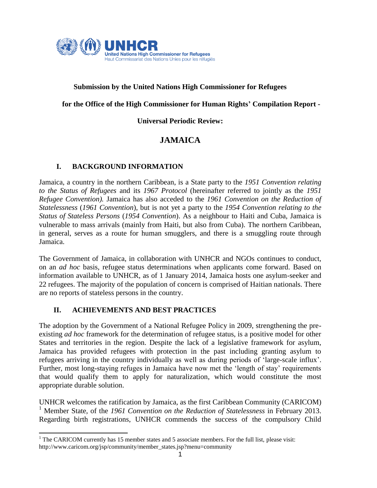

## **Submission by the United Nations High Commissioner for Refugees**

**Submission b**

**for the Office of the High Commissioner for Human Rights' Compilation Report -**

**Universal Periodic Review:**

## **JAMAICA**

## **I. BACKGROUND INFORMATION**

Jamaica, a country in the northern Caribbean, is a State party to the *1951 Convention relating to the Status of Refugees* and its *1967 Protocol* (hereinafter referred to jointly as the *1951 Refugee Convention).* Jamaica has also acceded to the *1961 Convention on the Reduction of Statelessness* (*1961 Convention*), but is not yet a party to the *1954 Convention relating to the Status of Stateless Persons* (*1954 Convention*). As a neighbour to Haiti and Cuba, Jamaica is vulnerable to mass arrivals (mainly from Haiti, but also from Cuba). The northern Caribbean, in general, serves as a route for human smugglers, and there is a smuggling route through Jamaica.

The Government of Jamaica, in collaboration with UNHCR and NGOs continues to conduct, on an *ad hoc* basis, refugee status determinations when applicants come forward. Based on information available to UNHCR, as of 1 January 2014, Jamaica hosts one asylum-seeker and 22 refugees. The majority of the population of concern is comprised of Haitian nationals. There are no reports of stateless persons in the country.

## **II. ACHIEVEMENTS AND BEST PRACTICES**

The adoption by the Government of a National Refugee Policy in 2009, strengthening the preexisting *ad hoc* framework for the determination of refugee status, is a positive model for other States and territories in the region. Despite the lack of a legislative framework for asylum, Jamaica has provided refugees with protection in the past including granting asylum to refugees arriving in the country individually as well as during periods of 'large-scale influx'. Further, most long-staying refuges in Jamaica have now met the 'length of stay' requirements that would qualify them to apply for naturalization, which would constitute the most appropriate durable solution.

UNHCR welcomes the ratification by Jamaica, as the first Caribbean Community (CARICOM) <sup>1</sup> Member State, of the *1961 Convention on the Reduction of Statelessness* in February 2013. Regarding birth registrations, UNHCR commends the success of the compulsory Child

<sup>&</sup>lt;sup>1</sup> The CARICOM currently has 15 member states and 5 associate members. For the full list, please visit: http://www.caricom.org/jsp/community/member\_states.jsp?menu=community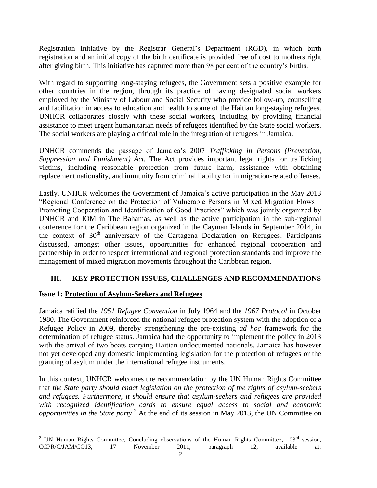Registration Initiative by the Registrar General's Department (RGD), in which birth registration and an initial copy of the birth certificate is provided free of cost to mothers right after giving birth. This initiative has captured more than 98 per cent of the country's births.

With regard to supporting long-staying refugees, the Government sets a positive example for other countries in the region, through its practice of having designated social workers employed by the Ministry of Labour and Social Security who provide follow-up, counselling and facilitation in access to education and health to some of the Haitian long-staying refugees. UNHCR collaborates closely with these social workers, including by providing financial assistance to meet urgent humanitarian needs of refugees identified by the State social workers. The social workers are playing a critical role in the integration of refugees in Jamaica.

UNHCR commends the passage of Jamaica's 2007 *Trafficking in Persons (Prevention, Suppression and Punishment) Act.* The Act provides important legal rights for trafficking victims, including reasonable protection from future harm, assistance with obtaining replacement nationality, and immunity from criminal liability for immigration-related offenses.

Lastly, UNHCR welcomes the Government of Jamaica's active participation in the May 2013 "Regional Conference on the Protection of Vulnerable Persons in Mixed Migration Flows – Promoting Cooperation and Identification of Good Practices" which was jointly organized by UNHCR and IOM in The Bahamas, as well as the active participation in the sub-regional conference for the Caribbean region organized in the Cayman Islands in September 2014, in the context of  $30<sup>th</sup>$  anniversary of the Cartagena Declaration on Refugees. Participants discussed, amongst other issues, opportunities for enhanced regional cooperation and partnership in order to respect international and regional protection standards and improve the management of mixed migration movements throughout the Caribbean region.

## **III. KEY PROTECTION ISSUES, CHALLENGES AND RECOMMENDATIONS**

## **Issue 1: Protection of Asylum-Seekers and Refugees**

Jamaica ratified the *1951 Refugee Convention* in July 1964 and the *1967 Protocol* in October 1980. The Government reinforced the national refugee protection system with the adoption of a Refugee Policy in 2009, thereby strengthening the pre-existing *ad hoc* framework for the determination of refugee status. Jamaica had the opportunity to implement the policy in 2013 with the arrival of two boats carrying Haitian undocumented nationals. Jamaica has however not yet developed any domestic implementing legislation for the protection of refugees or the granting of asylum under the international refugee instruments.

In this context, UNHCR welcomes the recommendation by the UN Human Rights Committee that *the State party should enact legislation on the protection of the rights of asylum-seekers and refugees. Furthermore, it should ensure that asylum-seekers and refugees are provided with recognized identification cards to ensure equal access to social and economic opportunities in the State party*. <sup>2</sup> At the end of its session in May 2013, the UN Committee on

 <sup>2</sup> UN Human Rights Committee, Concluding observations of the Human Rights Committee,  $103<sup>rd</sup>$  session, CCPR/C/JAM/CO13, 17 November 2011, paragraph 12, available at: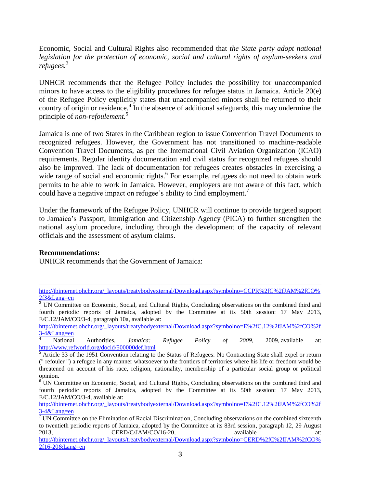Economic, Social and Cultural Rights also recommended that *the State party adopt national legislation for the protection of economic, social and cultural rights of asylum-seekers and refugees.<sup>3</sup>*

UNHCR recommends that the Refugee Policy includes the possibility for unaccompanied minors to have access to the eligibility procedures for refugee status in Jamaica. Article 20(e) of the Refugee Policy explicitly states that unaccompanied minors shall be returned to their country of origin or residence.<sup>4</sup> In the absence of additional safeguards, this may undermine the principle of *non-refoulement.* 5

Jamaica is one of two States in the Caribbean region to issue Convention Travel Documents to recognized refugees. However, the Government has not transitioned to machine-readable Convention Travel Documents, as per the International Civil Aviation Organization (ICAO) requirements. Regular identity documentation and civil status for recognized refugees should also be improved. The lack of documentation for refugees creates obstacles in exercising a wide range of social and economic rights.<sup>6</sup> For example, refugees do not need to obtain work permits to be able to work in Jamaica. However, employers are not aware of this fact, which could have a negative impact on refugee's ability to find employment.<sup>7</sup>

Under the framework of the Refugee Policy, UNHCR will continue to provide targeted support to Jamaica's Passport, Immigration and Citizenship Agency (PICA) to further strengthen the national asylum procedure, including through the development of the capacity of relevant officials and the assessment of asylum claims.

#### **Recommendations:**

 $\overline{a}$ 

UNHCR recommends that the Government of Jamaica:

<sup>4</sup> National Authorities, *Jamaica: Refugee Policy of 2009*, 2009, available at: <http://www.refworld.org/docid/500000def.html>

[http://tbinternet.ohchr.org/\\_layouts/treatybodyexternal/Download.aspx?symbolno=CCPR%2fC%2fJAM%2fCO%](http://tbinternet.ohchr.org/_layouts/treatybodyexternal/Download.aspx?symbolno=CCPR%2fC%2fJAM%2fCO%2f3&Lang=en) [2f3&Lang=en](http://tbinternet.ohchr.org/_layouts/treatybodyexternal/Download.aspx?symbolno=CCPR%2fC%2fJAM%2fCO%2f3&Lang=en)

<sup>&</sup>lt;sup>3</sup> UN Committee on Economic, Social, and Cultural Rights, Concluding observations on the combined third and fourth periodic reports of Jamaica, adopted by the Committee at its 50th session: 17 May 2013, E/C.12/JAM/CO/3-4, paragraph 10a, available at:

[http://tbinternet.ohchr.org/\\_layouts/treatybodyexternal/Download.aspx?symbolno=E%2fC.12%2fJAM%2fCO%2f](http://tbinternet.ohchr.org/_layouts/treatybodyexternal/Download.aspx?symbolno=E%2fC.12%2fJAM%2fCO%2f3-4&Lang=en)  $\frac{3-4&$ Lang=en

 $\overline{5}$  Article 33 of the 1951 Convention relating to the Status of Refugees: No Contracting State shall expel or return (" refouler ") a refugee in any manner whatsoever to the frontiers of territories where his life or freedom would be threatened on account of his race, religion, nationality, membership of a particular social group or political opinion.

<sup>&</sup>lt;sup>6</sup> UN Committee on Economic, Social, and Cultural Rights, Concluding observations on the combined third and fourth periodic reports of Jamaica, adopted by the Committee at its 50th session: 17 May 2013, E/C.12/JAM/CO/3-4, available at:

[http://tbinternet.ohchr.org/\\_layouts/treatybodyexternal/Download.aspx?symbolno=E%2fC.12%2fJAM%2fCO%2f](http://tbinternet.ohchr.org/_layouts/treatybodyexternal/Download.aspx?symbolno=E%2fC.12%2fJAM%2fCO%2f3-4&Lang=en) [3-4&Lang=en](http://tbinternet.ohchr.org/_layouts/treatybodyexternal/Download.aspx?symbolno=E%2fC.12%2fJAM%2fCO%2f3-4&Lang=en)

 $\frac{1}{7}$  UN Committee on the Elimination of Racial Discrimination, Concluding observations on the combined sixteenth to twentieth periodic reports of Jamaica, adopted by the Committee at its 83rd session, paragraph 12, 29 August 2013, CERD/C/JAM/CO/16-20, available at: [http://tbinternet.ohchr.org/\\_layouts/treatybodyexternal/Download.aspx?symbolno=CERD%2fC%2fJAM%2fCO%](http://tbinternet.ohchr.org/_layouts/treatybodyexternal/Download.aspx?symbolno=CERD%2fC%2fJAM%2fCO%2f16-20&Lang=en) [2f16-20&Lang=en](http://tbinternet.ohchr.org/_layouts/treatybodyexternal/Download.aspx?symbolno=CERD%2fC%2fJAM%2fCO%2f16-20&Lang=en)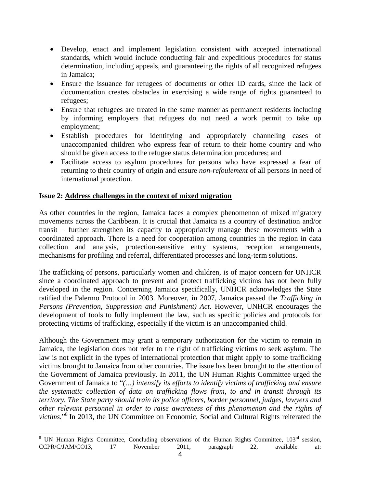- Develop, enact and implement legislation consistent with accepted international standards, which would include conducting fair and expeditious procedures for status determination, including appeals, and guaranteeing the rights of all recognized refugees in Jamaica;
- Ensure the issuance for refugees of documents or other ID cards, since the lack of documentation creates obstacles in exercising a wide range of rights guaranteed to refugees;
- Ensure that refugees are treated in the same manner as permanent residents including by informing employers that refugees do not need a work permit to take up employment;
- Establish procedures for identifying and appropriately channeling cases of unaccompanied children who express fear of return to their home country and who should be given access to the refugee status determination procedures; and
- Facilitate access to asylum procedures for persons who have expressed a fear of returning to their country of origin and ensure *non-refoulement* of all persons in need of international protection.

## **Issue 2: Address challenges in the context of mixed migration**

As other countries in the region, Jamaica faces a complex phenomenon of mixed migratory movements across the Caribbean. It is crucial that Jamaica as a country of destination and/or transit – further strengthen its capacity to appropriately manage these movements with a coordinated approach. There is a need for cooperation among countries in the region in data collection and analysis, protection-sensitive entry systems, reception arrangements, mechanisms for profiling and referral, differentiated processes and long-term solutions.

The trafficking of persons, particularly women and children, is of major concern for UNHCR since a coordinated approach to prevent and protect trafficking victims has not been fully developed in the region. Concerning Jamaica specifically, UNHCR acknowledges the State ratified the Palermo Protocol in 2003. Moreover, in 2007, Jamaica passed the *Trafficking in Persons (Prevention, Suppression and Punishment) Act*. However, UNHCR encourages the development of tools to fully implement the law, such as specific policies and protocols for protecting victims of trafficking, especially if the victim is an unaccompanied child.

Although the Government may grant a temporary authorization for the victim to remain in Jamaica, the legislation does not refer to the right of trafficking victims to seek asylum. The law is not explicit in the types of international protection that might apply to some trafficking victims brought to Jamaica from other countries. The issue has been brought to the attention of the Government of Jamaica previously. In 2011, the UN Human Rights Committee urged the Government of Jamaica to "*(…) intensify its efforts to identify victims of trafficking and ensure the systematic collection of data on trafficking flows from, to and in transit through its territory. The State party should train its police officers, border personnel, judges, lawyers and other relevant personnel in order to raise awareness of this phenomenon and the rights of*  victims."<sup>8</sup> In 2013, the UN Committee on Economic, Social and Cultural Rights reiterated the

 <sup>8</sup> UN Human Rights Committee, Concluding observations of the Human Rights Committee, 103<sup>rd</sup> session, CCPR/C/JAM/CO13, 17 November 2011, paragraph 22, available at: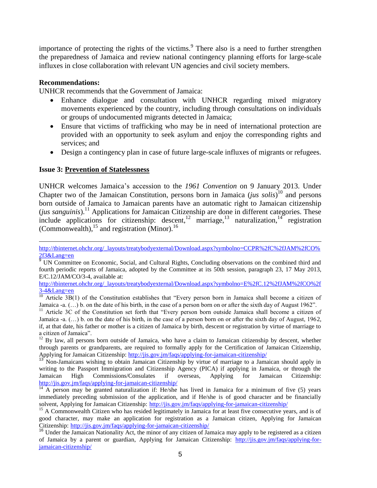importance of protecting the rights of the victims. $9$  There also is a need to further strengthen the preparedness of Jamaica and review national contingency planning efforts for large-scale influxes in close collaboration with relevant UN agencies and civil society members.

#### **Recommendations:**

 $\overline{a}$ 

UNHCR recommends that the Government of Jamaica:

- Enhance dialogue and consultation with UNHCR regarding mixed migratory movements experienced by the country, including through consultations on individuals or groups of undocumented migrants detected in Jamaica;
- Ensure that victims of trafficking who may be in need of international protection are provided with an opportunity to seek asylum and enjoy the corresponding rights and services; and
- Design a contingency plan in case of future large-scale influxes of migrants or refugees.

#### **Issue 3: Prevention of Statelessness**

UNHCR welcomes Jamaica's accession to the *1961 Convention* on 9 January 2013. Under Chapter two of the Jamaican Constitution, persons born in Jamaica (*jus solis*) <sup>10</sup> and persons born outside of Jamaica to Jamaican parents have an automatic right to Jamaican citizenship (*jus sanguinis*). <sup>11</sup> Applications for Jamaican Citizenship are done in different categories. These include applications for citizenship: descent,<sup>12</sup> marriage,<sup>13</sup> naturalization,<sup>14</sup> registration (Commonwealth), <sup>15</sup> and registration (Minor). 16

[http://tbinternet.ohchr.org/\\_layouts/treatybodyexternal/Download.aspx?symbolno=E%2fC.12%2fJAM%2fCO%2f](http://tbinternet.ohchr.org/_layouts/treatybodyexternal/Download.aspx?symbolno=E%2fC.12%2fJAM%2fCO%2f3-4&Lang=en) [3-4&Lang=en](http://tbinternet.ohchr.org/_layouts/treatybodyexternal/Download.aspx?symbolno=E%2fC.12%2fJAM%2fCO%2f3-4&Lang=en)

<sup>12</sup> By law, all persons born outside of Jamaica, who have a claim to Jamaican citizenship by descent, whether through parents or grandparents, are required to formally apply for the Certification of Jamaican Citizenship, Applying for Jamaican Citizenship:<http://jis.gov.jm/faqs/applying-for-jamaican-citizenship/>

<sup>13</sup> Non-Jamaicans wishing to obtain Jamaican Citizenship by virtue of marriage to a Jamaican should apply in writing to the Passport Immigration and Citizenship Agency (PICA) if applying in Jamaica, or through the Jamaican High Commissions/Consulates if overseas, Applying for Jamaican Citizenship: <http://jis.gov.jm/faqs/applying-for-jamaican-citizenship/>

 $\frac{14}{14}$  A person may be granted naturalization if: He/she has lived in Jamaica for a minimum of five (5) years immediately preceding submission of the application, and if He/she is of good character and be financially solvent, Applying for Jamaican Citizenship: <http://jis.gov.jm/faqs/applying-for-jamaican-citizenship/>

<sup>15</sup> A Commonwealth Citizen who has resided legitimately in Jamaica for at least five consecutive years, and is of good character, may make an application for registration as a Jamaican citizen, Applying for Jamaican Citizenship: <http://jis.gov.jm/faqs/applying-for-jamaican-citizenship/>

[http://tbinternet.ohchr.org/\\_layouts/treatybodyexternal/Download.aspx?symbolno=CCPR%2fC%2fJAM%2fCO%](http://tbinternet.ohchr.org/_layouts/treatybodyexternal/Download.aspx?symbolno=CCPR%2fC%2fJAM%2fCO%2f3&Lang=en) [2f3&Lang=en](http://tbinternet.ohchr.org/_layouts/treatybodyexternal/Download.aspx?symbolno=CCPR%2fC%2fJAM%2fCO%2f3&Lang=en)

<sup>&</sup>lt;sup>9</sup> UN Committee on Economic, Social, and Cultural Rights, Concluding observations on the combined third and fourth periodic reports of Jamaica, adopted by the Committee at its 50th session, paragraph 23, 17 May 2013, E/C.12/JAM/CO/3-4, available at:

 $10$  Article 3B(1) of the Constitution establishes that "Every person born in Jamaica shall become a citizen of Jamaica -a.  $(\ldots)$  b. on the date of his birth, in the case of a person born on or after the sixth day of August 1962".

<sup>&</sup>lt;sup>11</sup> Article 3C of the Constitution set forth that "Every person born outside Jamaica shall become a citizen of Jamaica -a. (…) b. on the date of his birth, in the case of a person born on or after the sixth day of August, 1962, if, at that date, his father or mother is a citizen of Jamaica by birth, descent or registration by virtue of marriage to a citizen of Jamaica".

<sup>&</sup>lt;sup>16</sup> Under the Jamaican Nationality Act, the minor of any citizen of Jamaica may apply to be registered as a citizen of Jamaica by a parent or guardian, Applying for Jamaican Citizenship: [http://jis.gov.jm/faqs/applying-for](http://jis.gov.jm/faqs/applying-for-jamaican-citizenship/)[jamaican-citizenship/](http://jis.gov.jm/faqs/applying-for-jamaican-citizenship/)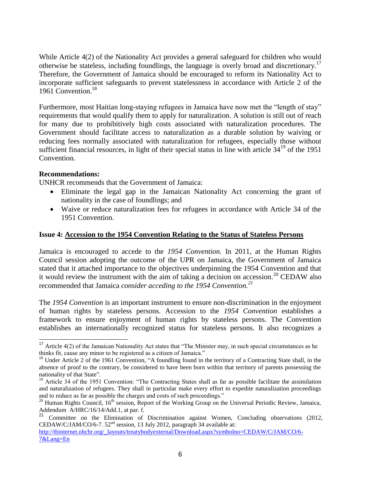While Article 4(2) of the Nationality Act provides a general safeguard for children who would otherwise be stateless, including foundlings, the language is overly broad and discretionary.<sup>17</sup> Therefore, the Government of Jamaica should be encouraged to reform its Nationality Act to incorporate sufficient safeguards to prevent statelessness in accordance with Article 2 of the 1961 Convention.<sup>18</sup>

Furthermore, most Haitian long-staying refugees in Jamaica have now met the "length of stay" requirements that would qualify them to apply for naturalization. A solution is still out of reach for many due to prohibitively high costs associated with naturalization procedures. The Government should facilitate access to naturalization as a durable solution by waiving or reducing fees normally associated with naturalization for refugees, especially those without sufficient financial resources, in light of their special status in line with article  $34^{19}$  of the 1951 Convention.

#### **Recommendations:**

j

UNHCR recommends that the Government of Jamaica:

- Eliminate the legal gap in the Jamaican Nationality Act concerning the grant of nationality in the case of foundlings; and
- Waive or reduce naturalization fees for refugees in accordance with Article 34 of the 1951 Convention.

#### **Issue 4: Accession to the 1954 Convention Relating to the Status of Stateless Persons**

Jamaica is encouraged to accede to the *1954 Convention.* In 2011, at the Human Rights Council session adopting the outcome of the UPR on Jamaica, the Government of Jamaica stated that it attached importance to the objectives underpinning the 1954 Convention and that it would review the instrument with the aim of taking a decision on accession.<sup>20</sup> CEDAW also recommended that Jamaica *consider acceding to the 1954 Convention. 21*

The *1954 Convention* is an important instrument to ensure non-discrimination in the enjoyment of human rights by stateless persons. Accession to the *1954 Convention* establishes a framework to ensure enjoyment of human rights by stateless persons. The Convention establishes an internationally recognized status for stateless persons. It also recognizes a

<sup>&</sup>lt;sup>17</sup> Article 4(2) of the Jamaican Nationality Act states that "The Minister may, in such special circumstances as he thinks fit, cause any minor to be registered as a citizen of Jamaica."

 $18$  Under Article 2 of the 1961 Convention, "A foundling found in the territory of a Contracting State shall, in the absence of proof to the contrary, be considered to have been born within that territory of parents possessing the nationality of that State".

 $19$  Article 34 of the 1951 Convention: "The Contracting States shall as far as possible facilitate the assimilation and naturalization of refugees. They shall in particular make every effort to expedite naturalization proceedings and to reduce as far as possible the charges and costs of such proceedings."

 $20$  Human Rights Council, 16<sup>th</sup> session, Report of the Working Group on the Universal Periodic Review, Jamaica, Addendum A/HRC/16/14/Add.1, at par. f.

 $21$  Committee on the Elimination of Discrimination against Women, Concluding observations (2012, CEDAW/C/JAM/CO/6-7.  $52<sup>nd</sup>$  session, 13 July 2012, paragraph 34 available at: [http://tbinternet.ohchr.org/\\_layouts/treatybodyexternal/Download.aspx?symbolno=CEDAW/C/JAM/CO/6-](http://tbinternet.ohchr.org/_layouts/treatybodyexternal/Download.aspx?symbolno=CEDAW/C/JAM/CO/6-7&Lang=En) [7&Lang=En](http://tbinternet.ohchr.org/_layouts/treatybodyexternal/Download.aspx?symbolno=CEDAW/C/JAM/CO/6-7&Lang=En)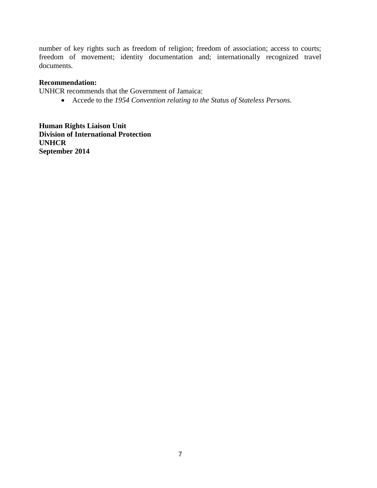number of key rights such as freedom of religion; freedom of association; access to courts; freedom of movement; identity documentation and; internationally recognized travel documents.

#### **Recommendation:**

UNHCR recommends that the Government of Jamaica:

Accede to the *1954 Convention relating to the Status of Stateless Persons.*

**Human Rights Liaison Unit Division of International Protection UNHCR September 2014**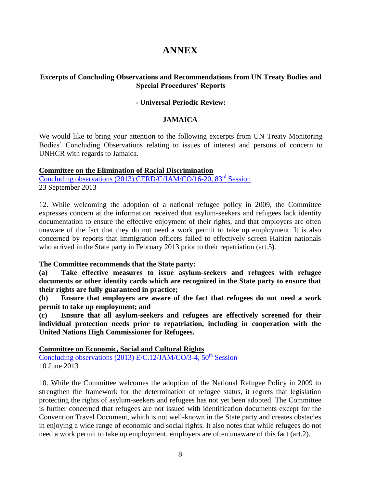# **ANNEX**

## **Excerpts of Concluding Observations and Recommendations from UN Treaty Bodies and Special Procedures' Reports**

## **- Universal Periodic Review:**

#### **JAMAICA**

We would like to bring your attention to the following excerpts from UN Treaty Monitoring Bodies' Concluding Observations relating to issues of interest and persons of concern to UNHCR with regards to Jamaica.

#### **Committee on the Elimination of Racial Discrimination**

[Concluding observations \(2013\) CERD/C/JAM/CO/16-20, 83](http://tbinternet.ohchr.org/_layouts/treatybodyexternal/Download.aspx?symbolno=CERD/C/JAM/CO/16-20&Lang=En)<sup>rd</sup> Session 23 September 2013

12. While welcoming the adoption of a national refugee policy in 2009, the Committee expresses concern at the information received that asylum-seekers and refugees lack identity documentation to ensure the effective enjoyment of their rights, and that employers are often unaware of the fact that they do not need a work permit to take up employment. It is also concerned by reports that immigration officers failed to effectively screen Haitian nationals who arrived in the State party in February 2013 prior to their repatriation (art.5).

**The Committee recommends that the State party:**

**(a) Take effective measures to issue asylum-seekers and refugees with refugee documents or other identity cards which are recognized in the State party to ensure that their rights are fully guaranteed in practice;**

**(b) Ensure that employers are aware of the fact that refugees do not need a work permit to take up employment; and**

**(c) Ensure that all asylum-seekers and refugees are effectively screened for their individual protection needs prior to repatriation, including in cooperation with the United Nations High Commissioner for Refugees.**

**Committee on Economic, Social and Cultural Rights**

Concluding observations (2013) E/C.12/JAM/CO/3-4,  $50^{th}$  Session 10 June 2013

10. While the Committee welcomes the adoption of the National Refugee Policy in 2009 to strengthen the framework for the determination of refugee status, it regrets that legislation protecting the rights of asylum-seekers and refugees has not yet been adopted. The Committee is further concerned that refugees are not issued with identification documents except for the Convention Travel Document, which is not well-known in the State party and creates obstacles in enjoying a wide range of economic and social rights. It also notes that while refugees do not need a work permit to take up employment, employers are often unaware of this fact (art.2).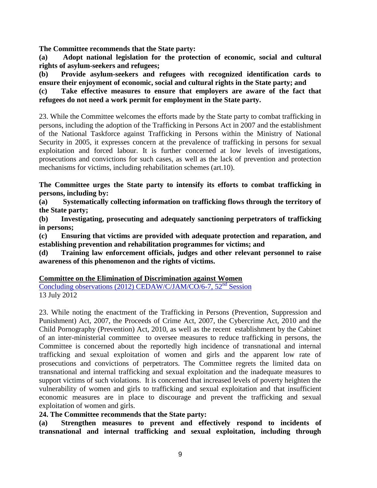**The Committee recommends that the State party:**

**(a) Adopt national legislation for the protection of economic, social and cultural rights of asylum-seekers and refugees;** 

**(b) Provide asylum-seekers and refugees with recognized identification cards to ensure their enjoyment of economic, social and cultural rights in the State party; and** 

**(c) Take effective measures to ensure that employers are aware of the fact that refugees do not need a work permit for employment in the State party.**

23. While the Committee welcomes the efforts made by the State party to combat trafficking in persons, including the adoption of the Trafficking in Persons Act in 2007 and the establishment of the National Taskforce against Trafficking in Persons within the Ministry of National Security in 2005, it expresses concern at the prevalence of trafficking in persons for sexual exploitation and forced labour. It is further concerned at low levels of investigations, prosecutions and convictions for such cases, as well as the lack of prevention and protection mechanisms for victims, including rehabilitation schemes (art.10).

**The Committee urges the State party to intensify its efforts to combat trafficking in persons, including by:** 

**(a) Systematically collecting information on trafficking flows through the territory of the State party;** 

**(b) Investigating, prosecuting and adequately sanctioning perpetrators of trafficking in persons;** 

**(c) Ensuring that victims are provided with adequate protection and reparation, and establishing prevention and rehabilitation programmes for victims; and** 

**(d) Training law enforcement officials, judges and other relevant personnel to raise awareness of this phenomenon and the rights of victims.**

**Committee on the Elimination of Discrimination against Women**

[Concluding observations \(2012\) CEDAW/C/JAM/CO/6-7, 52](http://tbinternet.ohchr.org/_layouts/treatybodyexternal/Download.aspx?symbolno=CEDAW/C/JAM/CO/6-7&Lang=En)<sup>nd</sup> Session 13 July 2012

23. While noting the enactment of the Trafficking in Persons (Prevention, Suppression and Punishment) Act, 2007, the Proceeds of Crime Act, 2007, the Cybercrime Act, 2010 and the Child Pornography (Prevention) Act, 2010, as well as the recent establishment by the Cabinet of an inter-ministerial committee to oversee measures to reduce trafficking in persons, the Committee is concerned about the reportedly high incidence of transnational and internal trafficking and sexual exploitation of women and girls and the apparent low rate of prosecutions and convictions of perpetrators. The Committee regrets the limited data on transnational and internal trafficking and sexual exploitation and the inadequate measures to support victims of such violations. It is concerned that increased levels of poverty heighten the vulnerability of women and girls to trafficking and sexual exploitation and that insufficient economic measures are in place to discourage and prevent the trafficking and sexual exploitation of women and girls.

**24. The Committee recommends that the State party:**

**(a) Strengthen measures to prevent and effectively respond to incidents of transnational and internal trafficking and sexual exploitation, including through**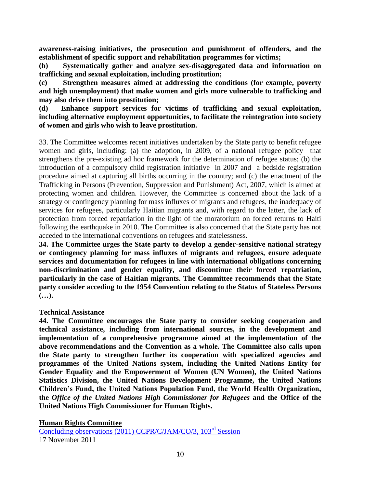**awareness-raising initiatives, the prosecution and punishment of offenders, and the establishment of specific support and rehabilitation programmes for victims;**

**(b) Systematically gather and analyze sex-disaggregated data and information on trafficking and sexual exploitation, including prostitution;**

**(c) Strengthen measures aimed at addressing the conditions (for example, poverty and high unemployment) that make women and girls more vulnerable to trafficking and may also drive them into prostitution;**

**(d) Enhance support services for victims of trafficking and sexual exploitation, including alternative employment opportunities, to facilitate the reintegration into society of women and girls who wish to leave prostitution.**

33. The Committee welcomes recent initiatives undertaken by the State party to benefit refugee women and girls, including: (a) the adoption, in 2009, of a national refugee policy that strengthens the pre-existing ad hoc framework for the determination of refugee status; (b) the introduction of a compulsory child registration initiative in 2007 and a bedside registration procedure aimed at capturing all births occurring in the country; and (c) the enactment of the Trafficking in Persons (Prevention, Suppression and Punishment) Act, 2007, which is aimed at protecting women and children. However, the Committee is concerned about the lack of a strategy or contingency planning for mass influxes of migrants and refugees, the inadequacy of services for refugees, particularly Haitian migrants and, with regard to the latter, the lack of protection from forced repatriation in the light of the moratorium on forced returns to Haiti following the earthquake in 2010. The Committee is also concerned that the State party has not acceded to the international conventions on refugees and statelessness.

**34. The Committee urges the State party to develop a gender-sensitive national strategy or contingency planning for mass influxes of migrants and refugees, ensure adequate services and documentation for refugees in line with international obligations concerning non-discrimination and gender equality, and discontinue their forced repatriation, particularly in the case of Haitian migrants. The Committee recommends that the State party consider acceding to the 1954 Convention relating to the Status of Stateless Persons (…).**

#### **Technical Assistance**

**44. The Committee encourages the State party to consider seeking cooperation and technical assistance, including from international sources, in the development and implementation of a comprehensive programme aimed at the implementation of the above recommendations and the Convention as a whole. The Committee also calls upon the State party to strengthen further its cooperation with specialized agencies and programmes of the United Nations system, including the United Nations Entity for Gender Equality and the Empowerment of Women (UN Women), the United Nations Statistics Division, the United Nations Development Programme, the United Nations Children's Fund, the United Nations Population Fund, the World Health Organization, the** *Office of the United Nations High Commissioner for Refugees* **and the Office of the United Nations High Commissioner for Human Rights.**

**Human Rights Committee**

[Concluding observations \(2011\) CCPR/C/JAM/CO/3, 103](http://tbinternet.ohchr.org/_layouts/treatybodyexternal/Download.aspx?symbolno=CCPR/C/JAM/CO/3&Lang=En)rd Session 17 November 2011